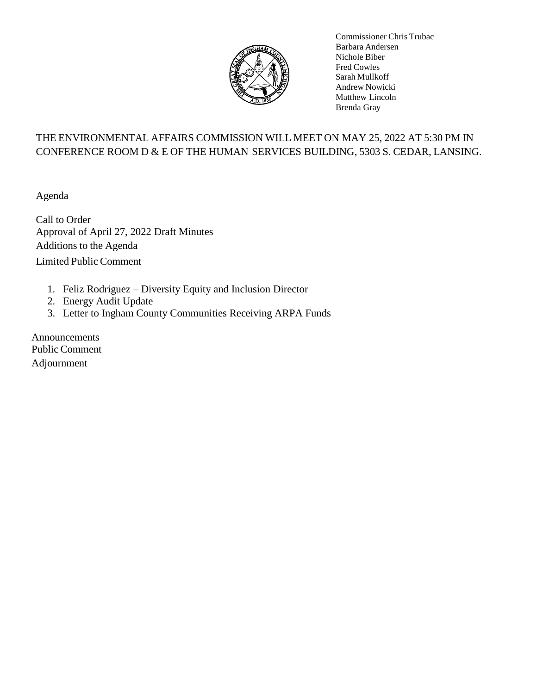

Commissioner Chris Trubac Barbara Andersen Nichole Biber Fred Cowles Sarah Mullkoff Andrew Nowicki Matthew Lincoln Brenda Gray

## THE ENVIRONMENTAL AFFAIRS COMMISSION WILL MEET ON MAY 25, 2022 AT 5:30 PM IN CONFERENCE ROOM D & E OF THE HUMAN SERVICES BUILDING, 5303 S. CEDAR, LANSING.

Agenda

Call to Order Approval of April 27, 2022 Draft Minutes Additions to the Agenda Limited Public Comment

- 1. Feliz Rodriguez Diversity Equity and Inclusion Director
- 2. Energy Audit Update
- 3. Letter to Ingham County Communities Receiving ARPA Funds

Announcements Public Comment Adjournment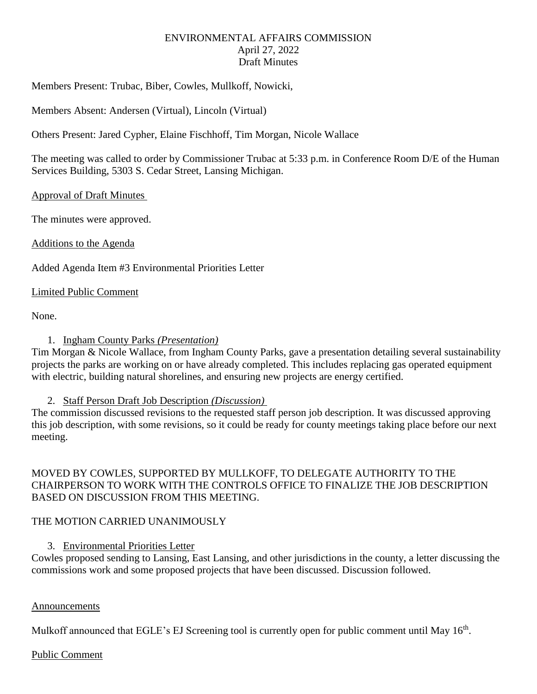## ENVIRONMENTAL AFFAIRS COMMISSION April 27, 2022 Draft Minutes

Members Present: Trubac, Biber, Cowles, Mullkoff, Nowicki,

Members Absent: Andersen (Virtual), Lincoln (Virtual)

Others Present: Jared Cypher, Elaine Fischhoff, Tim Morgan, Nicole Wallace

The meeting was called to order by Commissioner Trubac at 5:33 p.m. in Conference Room D/E of the Human Services Building, 5303 S. Cedar Street, Lansing Michigan.

## Approval of Draft Minutes

The minutes were approved.

Additions to the Agenda

Added Agenda Item #3 Environmental Priorities Letter

## Limited Public Comment

None.

## 1. Ingham County Parks *(Presentation)*

Tim Morgan & Nicole Wallace, from Ingham County Parks, gave a presentation detailing several sustainability projects the parks are working on or have already completed. This includes replacing gas operated equipment with electric, building natural shorelines, and ensuring new projects are energy certified.

## 2. Staff Person Draft Job Description *(Discussion)*

The commission discussed revisions to the requested staff person job description. It was discussed approving this job description, with some revisions, so it could be ready for county meetings taking place before our next meeting.

MOVED BY COWLES, SUPPORTED BY MULLKOFF, TO DELEGATE AUTHORITY TO THE CHAIRPERSON TO WORK WITH THE CONTROLS OFFICE TO FINALIZE THE JOB DESCRIPTION BASED ON DISCUSSION FROM THIS MEETING.

## THE MOTION CARRIED UNANIMOUSLY

## 3. Environmental Priorities Letter

Cowles proposed sending to Lansing, East Lansing, and other jurisdictions in the county, a letter discussing the commissions work and some proposed projects that have been discussed. Discussion followed.

## Announcements

Mulkoff announced that EGLE's EJ Screening tool is currently open for public comment until May 16<sup>th</sup>.

## Public Comment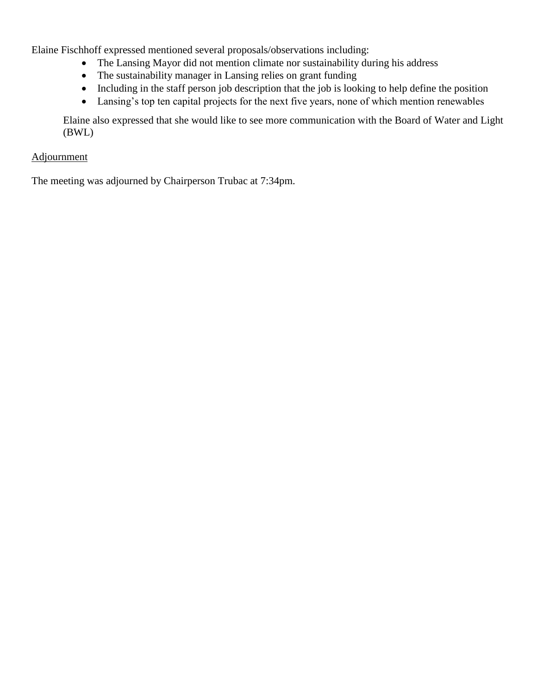Elaine Fischhoff expressed mentioned several proposals/observations including:

- The Lansing Mayor did not mention climate nor sustainability during his address
- The sustainability manager in Lansing relies on grant funding
- Including in the staff person job description that the job is looking to help define the position
- Lansing's top ten capital projects for the next five years, none of which mention renewables

Elaine also expressed that she would like to see more communication with the Board of Water and Light (BWL)

## Adjournment

The meeting was adjourned by Chairperson Trubac at 7:34pm.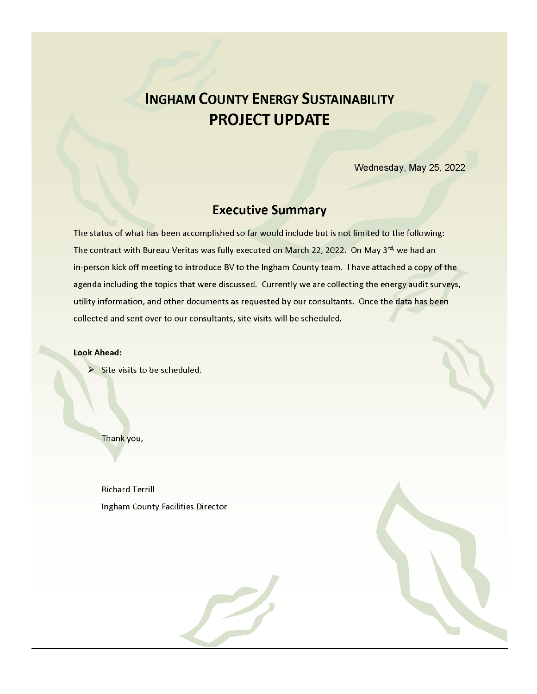## **INGHAM COUNTY ENERGY SUSTAINABILITY PROJECT UPDATE**

Wednesday, May 25, 2022

## **Executive Summary**

The status of what has been accomplished so far would include but is not limited to the following: The contract with Bureau Veritas was fully executed on March 22, 2022. On May 3rd, we had an in-person kick off meeting to introduce BV to the Ingham County team. I have attached a copy of the agenda including the topics that were discussed. Currently we are collecting the energy audit surveys, utility information, and other documents as requested by our consultants. Once the data has been collected and sent over to our consultants, site visits will be scheduled.

**Look Ahead:** 

 $\triangleright$  Site visits to be scheduled.

Thank you,

**Richard Terrill** Ingham County Facilities Director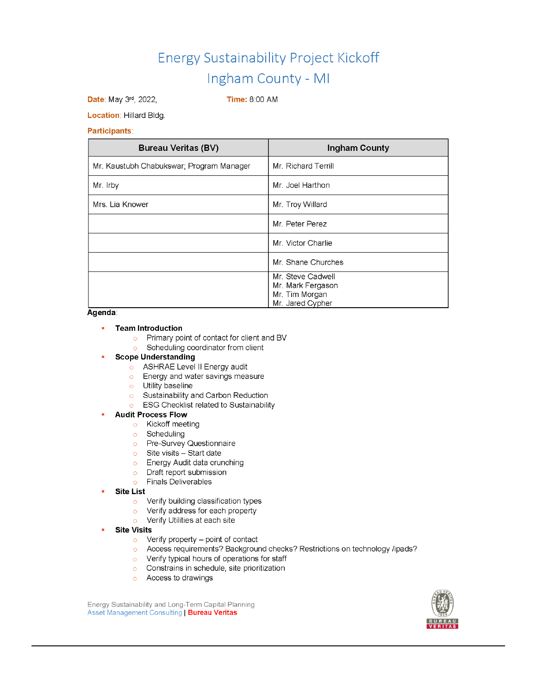Date: May 3rd, 2022,

**Time: 8:00 AM** 

Location: Hillard Bldg.

#### **Participants:**

| <b>Bureau Veritas (BV)</b>               | Ingham County                       |
|------------------------------------------|-------------------------------------|
| Mr. Kaustubh Chabukswar; Program Manager | Mr. Richard Terrill                 |
| Mr. Irby                                 | Mr. Joel Harthon                    |
| Mrs. Lia Knower                          | Mr. Troy Willard                    |
|                                          | Mr. Peter Perez                     |
|                                          | Mr. Victor Charlie                  |
|                                          | Mr. Shane Churches                  |
|                                          | Mr. Steve Cadwell                   |
|                                          | Mr. Mark Fergason<br>Mr. Tim Morgan |
|                                          | Mr. Jared Cypher                    |

#### Agenda:

#### a. **Team Introduction**

- o Primary point of contact for client and BV
- Scheduling coordinator from client  $\circ$

### **Scope Understanding**

- o ASHRAE Level II Energy audit
- **C** Energy and water savings measure
- o Utility baseline
- Sustainability and Carbon Reduction  $\circ$
- **o** ESG Checklist related to Sustainability

#### **Audit Process Flow**

- o Kickoff meeting
- o Scheduling
- o Pre-Survey Questionnaire
- $\circ$  Site visits Start date
- **Energy Audit data crunching**
- o Draft report submission
- **Finals Deliverables**  $\circ$
- **Site List** 
	- o Verify building classification types
	- o Verify address for each property
	- o Verify Utilities at each site
- **Site Visits** 
	- $\circ$  Verify property point of contact
	- o Access requirements? Background checks? Restrictions on technology /ipads?
	- o Verify typical hours of operations for staff
	- o Constrains in schedule, site prioritization
	- o Access to drawings

Energy Sustainability and Long-Term Capital Planning Asset Management Consulting | Bureau Veritas

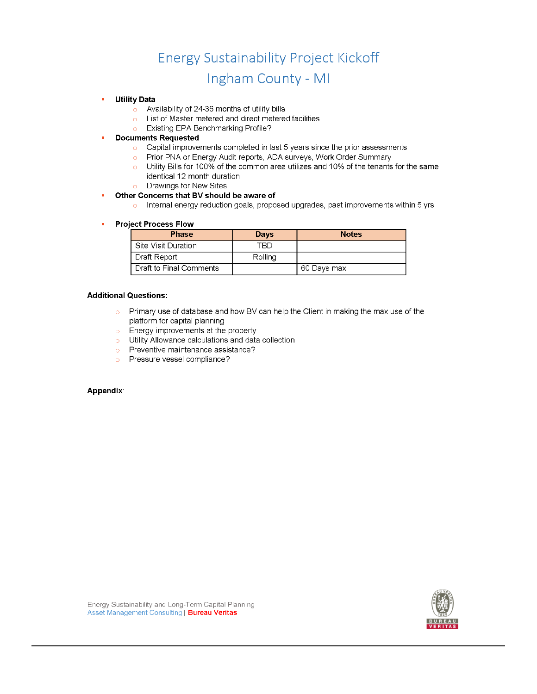#### **Utility Data**

- Availability of 24-36 months of utility bills  $\circ$
- List of Master metered and direct metered facilities  $\bullet$
- o Existing EPA Benchmarking Profile?

#### **Documents Requested**

- Capital improvements completed in last 5 years since the prior assessments
- o Prior PNA or Energy Audit reports, ADA surveys, Work Order Summary
- o Utility Bills for 100% of the common area utilizes and 10% of the tenants for the same identical 12-month duration
- Drawings for New Sites  $\circ$

#### Other Concerns that BV should be aware of

o Internal energy reduction goals, proposed upgrades, past improvements within 5 yrs

#### **Project Process Flow**

| <b>Phase</b>            | Days    | <b>Notes</b> |
|-------------------------|---------|--------------|
| Site Visit Duration     | TBD     |              |
| Draft Report            | Rolling |              |
| Draft to Final Comments |         | 60 Days max  |

#### **Additional Questions:**

- $\circ$  Primary use of database and how BV can help the Client in making the max use of the platform for capital planning
- $\circ$  Energy improvements at the property
- $\circ$  Utility Allowance calculations and data collection
- Preventive maintenance assistance?
- o Pressure vessel compliance?

#### Appendix:

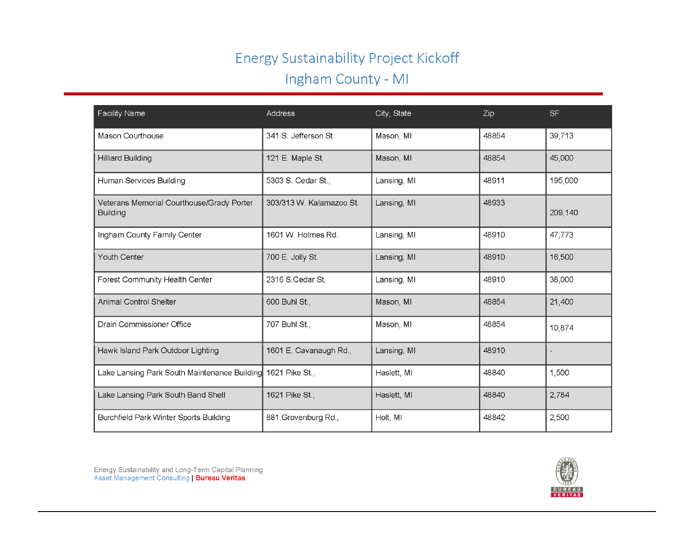| <b>Facility Name</b>                                         | <b>Address</b>           | City, State | Zip   | <b>SF</b> |
|--------------------------------------------------------------|--------------------------|-------------|-------|-----------|
| Mason Courthouse                                             | 341 S. Jefferson St.     | Mason, MI   | 48854 | 39,713    |
| <b>Hilliard Building</b>                                     | 121 E. Maple St,         | Mason, MI   | 48854 | 45,000    |
| Human Services Building                                      | 5303 S. Cedar St.,       | Lansing, MI | 48911 | 195,000   |
| Veterans Memorial Courthouse/Grady Porter<br><b>Building</b> | 303/313 W. Kalamazoo St. | Lansing, MI | 48933 | 209,140   |
| Ingham County Family Center                                  | 1601 W. Holmes Rd.       | Lansing, MI | 48910 | 47,773    |
| Youth Center                                                 | 700 E. Jolly St.         | Lansing, MI | 48910 | 16,500    |
| Forest Community Health Center                               | 2316 S.Cedar St.         | Lansing, MI | 48910 | 38,000    |
| <b>Animal Control Shelter</b>                                | 600 Buhl St.,            | Mason, MI   | 48854 | 21,400    |
| Drain Commissioner Office                                    | 707 Buhl St.,            | Mason, MI   | 48854 | 10,874    |
| Hawk Island Park Outdoor Lighting                            | 1601 E. Cavanaugh Rd.,   | Lansing, MI | 48910 |           |
| Lake Lansing Park South Maintenance Building                 | 1621 Pike St.,           | Haslett, MI | 48840 | 1,500     |
| Lake Lansing Park South Band Shell                           | 1621 Pike St.,           | Haslett, MI | 48840 | 2,784     |
| Burchfield Park Winter Sports Building                       | 881 Grovenburg Rd.,      | Holt, MI    | 48842 | 2,500     |

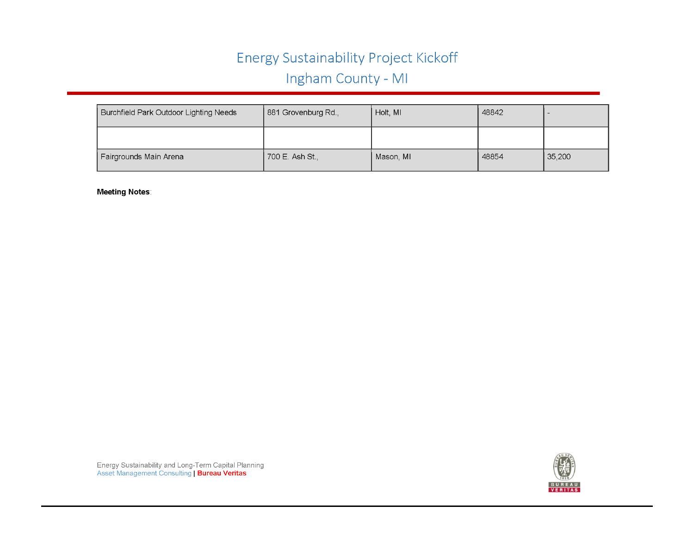| Burchfield Park Outdoor Lighting Needs | 881 Grovenburg Rd., | Holt, MI  | 48842 |        |
|----------------------------------------|---------------------|-----------|-------|--------|
|                                        |                     |           |       |        |
| Fairgrounds Main Arena                 | 700 E. Ash St.,     | Mason, MI | 48854 | 35,200 |

**Meeting Notes:**